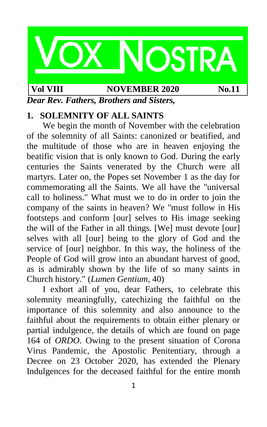

#### **Vol VIII NOVEMBER** 2020 **No.11**

*Dear Rev. Fathers, Brothers and Sisters,*

## **1. SOLEMNITY OF ALL SAINTS**

We begin the month of November with the celebration of the solemnity of all Saints: canonized or beatified, and the multitude of those who are in heaven enjoying the beatific vision that is only known to God. During the early centuries the Saints venerated by the Church were all martyrs. Later on, the Popes set November 1 as the day for commemorating all the Saints. We all have the "universal call to holiness." What must we to do in order to join the company of the saints in heaven? We "must follow in His footsteps and conform [our] selves to His image seeking the will of the Father in all things. [We] must devote [our] selves with all [our] being to the glory of God and the service of [our] neighbor. In this way, the holiness of the People of God will grow into an abundant harvest of good, as is admirably shown by the life of so many saints in Church history." (*Lumen Gentium*, 40)

I exhort all of you, dear Fathers, to celebrate this solemnity meaningfully, catechizing the faithful on the importance of this solemnity and also announce to the faithful about the requirements to obtain either plenary or partial indulgence, the details of which are found on page 164 of *ORDO*. Owing to the present situation of Corona Virus Pandemic, the Apostolic Penitentiary, through a Decree on 23 October 2020, has extended the Plenary Indulgences for the deceased faithful for the entire month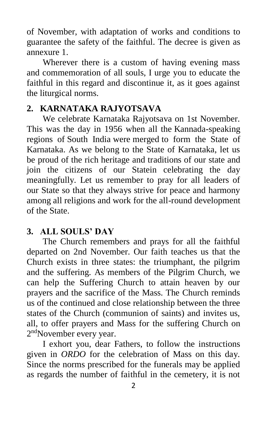of November, with adaptation of works and conditions to guarantee the safety of the faithful. The decree is given as annexure 1.

Wherever there is a custom of having evening mass and commemoration of all souls, I urge you to educate the faithful in this regard and discontinue it, as it goes against the liturgical norms.

# **2. KARNATAKA RAJYOTSAVA**

We celebrate Karnataka Rajyotsava on 1st November. This was the day in 1956 when all the Kannada-speaking regions of South India were merged to form the State of Karnataka. As we belong to the State of Karnataka, let us be proud of the rich heritage and traditions of our state and join the citizens of our Statein celebrating the day meaningfully. Let us remember to pray for all leaders of our State so that they always strive for peace and harmony among all religions and work for the all-round development of the State.

# **3. ALL SOULS' DAY**

The Church remembers and prays for all the faithful departed on 2nd November. Our faith teaches us that the Church exists in three states: the triumphant, the pilgrim and the suffering. As members of the Pilgrim Church, we can help the Suffering Church to attain heaven by our prayers and the sacrifice of the Mass. The Church reminds us of the continued and close relationship between the three states of the Church (communion of saints) and invites us, all, to offer prayers and Mass for the suffering Church on 2<sup>nd</sup>November every year.

I exhort you, dear Fathers, to follow the instructions given in *ORDO* for the celebration of Mass on this day. Since the norms prescribed for the funerals may be applied as regards the number of faithful in the cemetery, it is not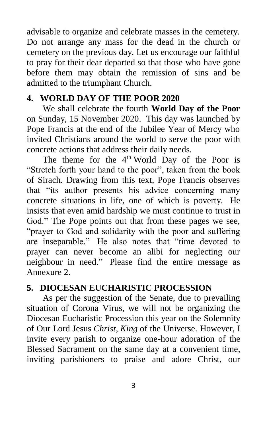advisable to organize and celebrate masses in the cemetery. Do not arrange any mass for the dead in the church or cemetery on the previous day. Let us encourage our faithful to pray for their dear departed so that those who have gone before them may obtain the remission of sins and be admitted to the triumphant Church.

# **4. WORLD DAY OF THE POOR 2020**

We shall celebrate the fourth **World Day of the Poor** on Sunday, 15 November 2020. This day was launched by Pope Francis at the end of the Jubilee Year of Mercy who invited Christians around the world to serve the poor with concrete actions that address their daily needs.

The theme for the  $4<sup>th</sup>$  World Day of the Poor is "Stretch forth your hand to the poor", taken from the book of Sirach. Drawing from this text, Pope Francis observes that "its author presents his advice concerning many concrete situations in life, one of which is poverty. He insists that even amid hardship we must continue to trust in God." The Pope points out that from these pages we see, "prayer to God and solidarity with the poor and suffering are inseparable." He also notes that "time devoted to prayer can never become an alibi for neglecting our neighbour in need." Please find the entire message as Annexure 2.

# **5. DIOCESAN EUCHARISTIC PROCESSION**

As per the suggestion of the Senate, due to prevailing situation of Corona Virus, we will not be organizing the Diocesan Eucharistic Procession this year on the Solemnity of Our Lord Jesus *Christ*, *King* of the Universe. However, I invite every parish to organize one-hour adoration of the Blessed Sacrament on the same day at a convenient time, inviting parishioners to praise and adore Christ, our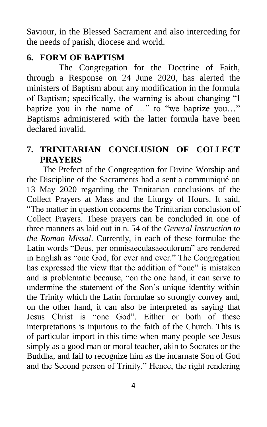Saviour, in the Blessed Sacrament and also interceding for the needs of parish, diocese and world.

# **6. FORM OF BAPTISM**

The Congregation for the Doctrine of Faith, through a Response on 24 June 2020, has alerted the ministers of Baptism about any modification in the formula of Baptism; specifically, the warning is about changing "I baptize you in the name of …" to "we baptize you…" Baptisms administered with the latter formula have been declared invalid.

# **7. TRINITARIAN CONCLUSION OF COLLECT PRAYERS**

The Prefect of the Congregation for Divine Worship and the Discipline of the Sacraments had a sent a communiqué on 13 May 2020 regarding the Trinitarian conclusions of the Collect Prayers at Mass and the Liturgy of Hours. It said, "The matter in question concerns the Trinitarian conclusion of Collect Prayers. These prayers can be concluded in one of three manners as laid out in n. 54 of the *General Instruction to the Roman Missal*. Currently, in each of these formulae the Latin words "Deus, per omnisaeculasaeculorum" are rendered in English as "one God, for ever and ever." The Congregation has expressed the view that the addition of "one" is mistaken and is problematic because, "on the one hand, it can serve to undermine the statement of the Son's unique identity within the Trinity which the Latin formulae so strongly convey and, on the other hand, it can also be interpreted as saying that Jesus Christ is "one God". Either or both of these interpretations is injurious to the faith of the Church. This is of particular import in this time when many people see Jesus simply as a good man or moral teacher, akin to Socrates or the Buddha, and fail to recognize him as the incarnate Son of God and the Second person of Trinity." Hence, the right rendering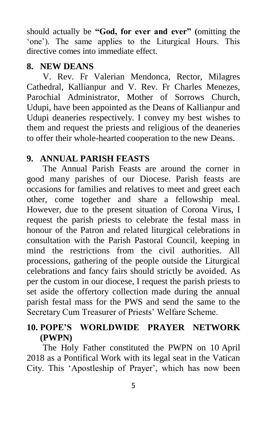should actually be **"God, for ever and ever" (**omitting the 'one'). The same applies to the Liturgical Hours. This directive comes into immediate effect.

## **8. NEW DEANS**

V. Rev. Fr Valerian Mendonca, Rector, Milagres Cathedral, Kallianpur and V. Rev. Fr Charles Menezes, Parochial Administrator, Mother of Sorrows Church, Udupi, have been appointed as the Deans of Kallianpur and Udupi deaneries respectively. I convey my best wishes to them and request the priests and religious of the deaneries to offer their whole-hearted cooperation to the new Deans.

# **9. ANNUAL PARISH FEASTS**

The Annual Parish Feasts are around the corner in good many parishes of our Diocese. Parish feasts are occasions for families and relatives to meet and greet each other, come together and share a fellowship meal. However, due to the present situation of Corona Virus, I request the parish priests to celebrate the festal mass in honour of the Patron and related liturgical celebrations in consultation with the Parish Pastoral Council, keeping in mind the restrictions from the civil authorities. All processions, gathering of the people outside the Liturgical celebrations and fancy fairs should strictly be avoided. As per the custom in our diocese, I request the parish priests to set aside the offertory collection made during the annual parish festal mass for the PWS and send the same to the Secretary Cum Treasurer of Priests' Welfare Scheme.

# **10. POPE'S WORLDWIDE PRAYER NETWORK (PWPN)**

The Holy Father constituted the PWPN on 10 April 2018 as a Pontifical Work with its legal seat in the Vatican City. This 'Apostleship of Prayer', which has now been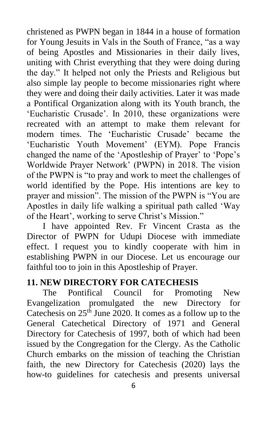christened as PWPN began in 1844 in a house of formation for Young Jesuits in Vals in the South of France, "as a way of being Apostles and Missionaries in their daily lives, uniting with Christ everything that they were doing during the day." It helped not only the Priests and Religious but also simple lay people to become missionaries right where they were and doing their daily activities. Later it was made a Pontifical Organization along with its Youth branch, the 'Eucharistic Crusade'. In 2010, these organizations were recreated with an attempt to make them relevant for modern times. The 'Eucharistic Crusade' became the 'Eucharistic Youth Movement' (EYM). Pope Francis changed the name of the 'Apostleship of Prayer' to 'Pope's Worldwide Prayer Network' (PWPN) in 2018. The vision of the PWPN is "to pray and work to meet the challenges of world identified by the Pope. His intentions are key to prayer and mission". The mission of the PWPN is "You are Apostles in daily life walking a spiritual path called 'Way of the Heart', working to serve Christ's Mission."

I have appointed Rev. Fr Vincent Crasta as the Director of PWPN for Udupi Diocese with immediate effect. I request you to kindly cooperate with him in establishing PWPN in our Diocese. Let us encourage our faithful too to join in this Apostleship of Prayer.

# **11. NEW DIRECTORY FOR CATECHESIS**

The Pontifical Council for Promoting New Evangelization promulgated the new Directory for Catechesis on  $25<sup>th</sup>$  June 2020. It comes as a follow up to the General Catechetical Directory of 1971 and General Directory for Catechesis of 1997, both of which had been issued by the Congregation for the Clergy. As the Catholic Church embarks on the mission of teaching the Christian faith, the new Directory for Catechesis (2020) lays the how-to guidelines for catechesis and presents universal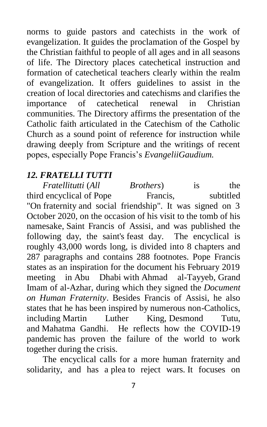norms to guide pastors and catechists in the work of evangelization. It guides the proclamation of the Gospel by the Christian faithful to people of all ages and in all seasons of life. The Directory places catechetical instruction and formation of catechetical teachers clearly within the realm of evangelization. It offers guidelines to assist in the creation of local directories and catechisms and clarifies the importance of catechetical renewal in Christian communities. The Directory affirms the presentation of the Catholic faith articulated in the Catechism of the Catholic Church as a sound point of reference for instruction while drawing deeply from Scripture and the writings of recent popes, especially Pope Francis's *EvangeliiGaudium.*

## *12. FRATELLI TUTTI*

*Fratellitutti* (*All Brothers*) is the third encyclical of Pope Francis, subtitled "On [fraternity](https://en.wikipedia.org/wiki/Fraternity_(philosophy)) and social friendship". It was signed on 3 October 2020, on the occasion of his visit to the tomb of his namesake, [Saint Francis of Assisi,](https://en.wikipedia.org/wiki/Saint_Francis_of_Assisi) and was published the following day, the saint's [feast day.](https://en.wikipedia.org/wiki/Feast_day) The encyclical is roughly 43,000 words long, is divided into 8 chapters and 287 paragraphs and contains 288 footnotes. Pope Francis states as an inspiration for the document his February 2019 meeting in Abu Dhabi with Ahmad al-Tayyeb, Grand Imam of al-Azhar, during which they signed the *Document on Human Fraternity*. Besides Francis of Assisi, he also states that he has been inspired by numerous non-Catholics, including Martin Luther King, Desmond Tutu, and Mahatma Gandhi. He reflects how the [COVID-19](https://en.wikipedia.org/wiki/COVID-19_pandemic)  [pandemic](https://en.wikipedia.org/wiki/COVID-19_pandemic) has proven the failure of the world to work together during the crisis.

The encyclical calls for a more human fraternity and solidarity, and has a plea to reject wars. It focuses on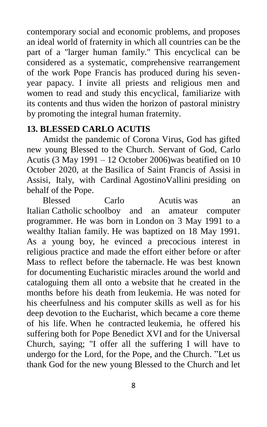contemporary social and economic problems, and proposes an ideal world of fraternity in which all countries can be the part of a "larger human family." This encyclical can be considered as a systematic, comprehensive rearrangement of the work Pope Francis has produced during his sevenyear papacy. I invite all priests and religious men and women to read and study this encyclical, familiarize with its contents and thus widen the horizon of pastoral ministry by promoting the integral human fraternity.

## **13. BLESSED CARLO ACUTIS**

Amidst the pandemic of Corona Virus, God has gifted new young Blessed to the Church. Servant of God, Carlo Acutis (3 May 1991 – 12 October 2006)was beatified on 10 October 2020, at the Basilica of Saint Francis of Assisi in Assisi, Italy, with Cardinal AgostinoVallini presiding on behalf of the Pope.

Blessed Carlo Acutis was an Italian Catholic schoolboy and an amateur computer programmer. He was born in London on 3 May 1991 to a wealthy Italian family. He was baptized on 18 May 1991. As a young boy, he evinced a precocious interest in religious practice and made the effort either before or after Mass to reflect before the tabernacle. He was best known for documenting Eucharistic miracles around the world and cataloguing them all onto a website that he created in the months before his death from leukemia. He was noted for his cheerfulness and his computer skills as well as for his deep devotion to the Eucharist, which became a core theme of his life. When he contracted leukemia, he offered his suffering both for Pope Benedict XVI and for the Universal Church, saying; "I offer all the suffering I will have to undergo for the Lord, for the Pope, and the Church. "Let us thank God for the new young Blessed to the Church and let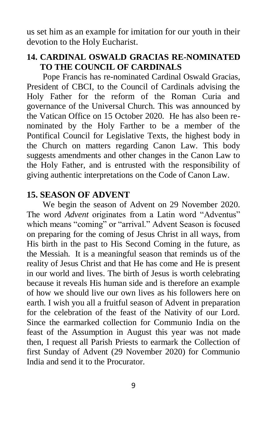us set him as an example for imitation for our youth in their devotion to the Holy Eucharist.

### **14. CARDINAL OSWALD GRACIAS RE-NOMINATED TO THE COUNCIL OF CARDINALS**

Pope Francis has re-nominated Cardinal Oswald Gracias, President of CBCI, to the Council of Cardinals advising the Holy Father for the reform of the Roman Curia and governance of the Universal Church. This was announced by the Vatican Office on 15 October 2020. He has also been renominated by the Holy Farther to be a member of the Pontifical Council for Legislative Texts, the highest body in the Church on matters regarding Canon Law. This body suggests amendments and other changes in the Canon Law to the Holy Father, and is entrusted with the responsibility of giving authentic interpretations on the Code of Canon Law.

## **15. SEASON OF ADVENT**

We begin the season of Advent on 29 November 2020. The word *Advent* originates from a Latin word "Adventus" which means "coming" or "arrival." Advent Season is focused on preparing for the coming of Jesus Christ in all ways, from His birth in the past to His Second Coming in the future, as the Messiah. It is a meaningful season that reminds us of the reality of Jesus Christ and that He has come and He is present in our world and lives. The birth of Jesus is worth celebrating because it reveals His human side and is therefore an example of how we should live our own lives as his followers here on earth. I wish you all a fruitful season of Advent in preparation for the celebration of the feast of the Nativity of our Lord. Since the earmarked collection for Communio India on the feast of the Assumption in August this year was not made then, I request all Parish Priests to earmark the Collection of first Sunday of Advent (29 November 2020) for Communio India and send it to the Procurator.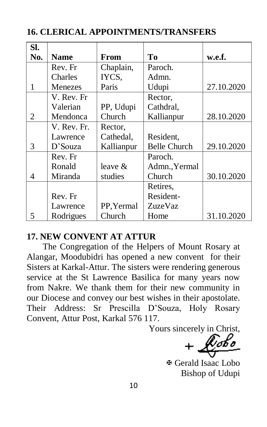| SI. |             |            |                     |            |
|-----|-------------|------------|---------------------|------------|
| No. | <b>Name</b> | From       | Tо                  | w.e.f.     |
|     | Rev. Fr     | Chaplain,  | Paroch.             |            |
|     | Charles     | IYCS,      | Admn.               |            |
| 1   | Menezes     | Paris      | Udupi               | 27.10.2020 |
|     | V. Rev. Fr  |            | Rector,             |            |
|     | Valerian    | PP, Udupi  | Cathdral,           |            |
| 2   | Mendonca    | Church     | Kallianpur          | 28.10.2020 |
|     | V. Rev. Fr. | Rector,    |                     |            |
|     | Lawrence    | Cathedal,  | Resident,           |            |
| 3   | $D$ 'Souza  | Kallianpur | <b>Belle Church</b> | 29.10.2020 |
|     | Rev. Fr     |            | Paroch.             |            |
|     | Ronald      | leave $&$  | Admn., Yermal       |            |
| 4   | Miranda     | studies    | Church              | 30.10.2020 |
|     |             |            | Retires,            |            |
|     | Rev. Fr     |            | Resident-           |            |
|     | Lawrence    | PP, Yermal | ZuzeVaz             |            |
| 5   | Rodrigues   | Church     | Home                | 31.10.2020 |

**16. CLERICAL APPOINTMENTS/TRANSFERS**

#### **17. NEW CONVENT AT ATTUR**

The Congregation of the Helpers of Mount Rosary at Alangar, Moodubidri has opened a new convent for their Sisters at Karkal-Attur. The sisters were rendering generous service at the St Lawrence Basilica for many years now from Nakre. We thank them for their new community in our Diocese and convey our best wishes in their apostolate. Their Address: Sr Prescilla D'Souza, Holy Rosary Convent, Attur Post, Karkal 576 117.

Yours sincerely in Christ,

 Gerald Isaac Lobo Bishop of Udupi